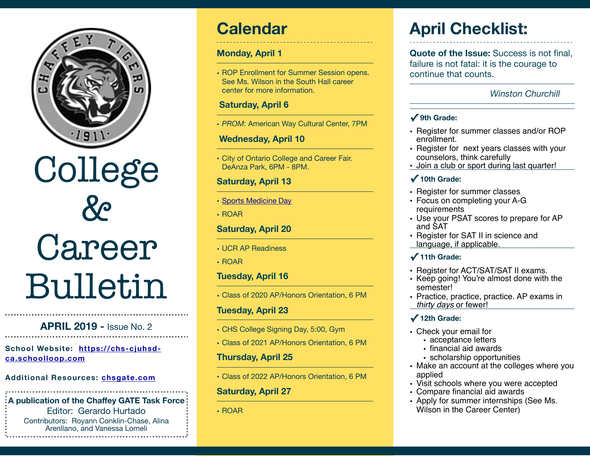

#### **APRIL 2019 -** Issue No. 2

**[School Website: https://chs-cjuhsd](https://chs-cjuhsd-ca.schoolloop.com)[ca.schoolloop.com](https://chs-cjuhsd-ca.schoolloop.com)**

#### **Additional Resources: [chsgate.com](http://chsgate.com)**

#### **A publication of the Chaffey GATE Task Force**  Editor: Gerardo Hurtado Contributors: Royann Conklin-Chase, Alina

Arenllano, and Vanessa Lomeli

### **Calendar**

#### **Monday, April 1**

• ROP Enrollment for Summer Session opens. See Ms. Wilson in the South Hall career center for more information.

#### **Saturday, April 6**

• *PROM*: American Way Cultural Center, 7PM

#### **Wednesday, April 10**

• City of Ontario College and Career Fair. DeAnza Park, 6PM - 8PM.

#### **Saturday, April 13**

- [Sports Medicine Day](https://chs-cjuhsd-ca.schoolloop.com/pf4/cms2/view_all_news?group_id=1500178973446)
- ROAR

#### **Saturday, April 20**

- UCR AP Readiness
- ROAR

#### **Tuesday, April 16**

• Class of 2020 AP/Honors Orientation, 6 PM

#### **Tuesday, April 23**

- CHS College Signing Day, 5:00, Gym
- Class of 2021 AP/Honors Orientation, 6 PM

#### **Thursday, April 25**

• Class of 2022 AP/Honors Orientation, 6 PM

#### **Saturday, April 27**

• ROAR

# **April Checklist:**

**Quote of the Issue:** Success is not final. failure is not fatal: it is the courage to continue that counts.

#### *Winston Churchill*

#### **✓ 9th Grade:**

- Register for summer classes and/or ROP enrollment.
- Register for next years classes with your counselors, think carefully
- Join a club or sport during last quarter!

### **✓ 10th Grade:**

- Register for summer classes
- Focus on completing your A-G requirements
- Use your PSAT scores to prepare for AP and SAT
- Register for SAT II in science and language, if applicable.

#### **✓ 11th Grade:**

- Register for ACT/SAT/SAT II exams.
- Keep going! You're almost done with the semester!
- Practice, practice, practice. AP exams in *thirty days* or fewer!

#### **✓ 12th Grade:**

- Check your email for
	- acceptance letters
	- financial aid awards
- scholarship opportunities • Make an account at the colleges where you applied
- Visit schools where you were accepted
- Compare financial aid awards
- Apply for summer internships (See Ms. Wilson in the Career Center)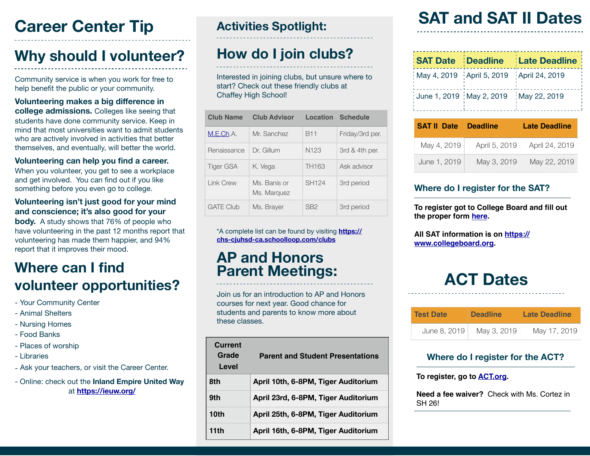### **Career Center Tip Activities Spotlight:**

### **Why should I volunteer?**

Community service is when you work for free to help benefit the public or your community.

**Volunteering makes a big difference in college admissions.** Colleges like seeing that students have done community service. Keep in mind that most universities want to admit students who are actively involved in activities that better themselves, and eventually, will better the world.

#### **Volunteering can help you find a career.**

When you volunteer, you get to see a workplace and get involved. You can find out if you like something before you even go to college.

#### **Volunteering isn't just good for your mind and conscience; it's also good for your body.** A study shows that 76% of people who

have volunteering in the past 12 months report that volunteering has made them happier, and 94% report that it improves their mood.

### **Where can I find volunteer opportunities?**

- Your Community Center
- Animal Shelters
- Nursing Homes
- Food Banks
- Places of worship
- Libraries
- Ask your teachers, or visit the Career Center.
- Online: check out the **Inland Empire United Way** at **<https://ieuw.org/>**

### **How do I join clubs?**

Interested in joining clubs, but unsure where to start? Check out these friendly clubs at Chaffey High School!

| <b>Club Name</b> | <b>Club Advisor</b>         | Location          | <b>Schedule</b> |
|------------------|-----------------------------|-------------------|-----------------|
| M.E.Ch.A.        | Mr. Sanchez                 | <b>B11</b>        | Friday/3rd per. |
| Renaissance      | Dr. Gillum                  | N <sub>123</sub>  | 3rd & 4th per.  |
| <b>Tiger GSA</b> | K. Vega                     | TH163             | Ask advisor     |
| Link Crew        | Ms. Banis or<br>Ms. Marquez | SH <sub>124</sub> | 3rd period      |
| <b>GATE Club</b> | Ms. Brayer                  | SB <sub>2</sub>   | 3rd period      |

\*A complete list can be found by visiting **[https://](https://chs-cjuhsd-ca.schoolloop.com/clubs) [chs-cjuhsd-ca.schoolloop.com/clubs](https://chs-cjuhsd-ca.schoolloop.com/clubs)**

### **AP and Honors Parent Meetings:**

Join us for an introduction to AP and Honors courses for next year. Good chance for students and parents to know more about these classes.

| Current<br>Grade<br>Level | <b>Parent and Student Presentations</b> |
|---------------------------|-----------------------------------------|
| 8th                       | April 10th, 6-8PM, Tiger Auditorium     |
| 9th                       | April 23rd, 6-8PM, Tiger Auditorium     |
| 10th                      | April 25th, 6-8PM, Tiger Auditorium     |
| 11th                      | April 16th, 6-8PM, Tiger Auditorium     |

## **SAT and SAT II Dates**

|                                              | <b>SAT Date Deadline Late Deadline</b> |  |
|----------------------------------------------|----------------------------------------|--|
| May 4, 2019   April 5, 2019   April 24, 2019 |                                        |  |
| June 1, 2019   May 2, 2019   May 22, 2019    |                                        |  |

| <b>SAT II Date</b> | <b>Deadline</b> | <b>Late Deadline</b> |
|--------------------|-----------------|----------------------|
| May 4, 2019        | April 5, 2019   | April 24, 2019       |
| June 1, 2019       | May 3, 2019     | May 22, 2019         |

### **Where do I register for the SAT?**

**To register got to College Board and fill out the proper form [here](https://collegereadiness.collegeboard.org/sat/register/fees/fee-waivers).**

**All SAT information is on [https://](https://www.collegeboard.org) [www.collegeboard.org.](https://www.collegeboard.org)** 

### **ACT Dates**

| <b>Test Date</b> | <b>Deadline</b> | <b>Late Deadline</b> |  |  |
|------------------|-----------------|----------------------|--|--|
| June 8, 2019     | May 3, 2019     | May 17, 2019         |  |  |

#### **Where do I register for the ACT?**

**To register, go to [ACT.org](http://Act.org).**

**Need a fee waiver?** Check with Ms. Cortez in SH 26!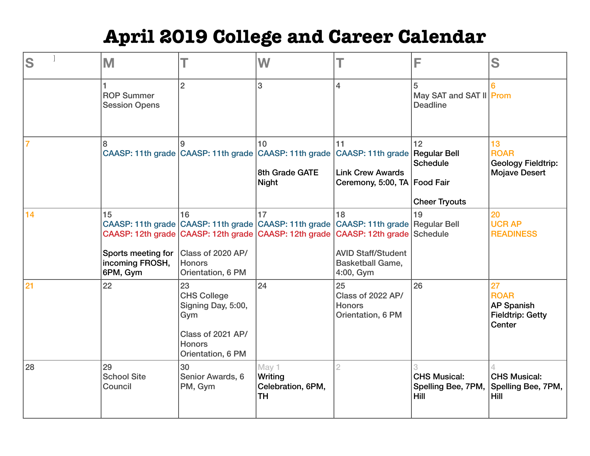# **April 2019 College and Career Calendar**

| S              | M                                                       |                                                                                                                  | W                                                                                                                                                   |                                                                                              | F                                                 | S                                                                           |
|----------------|---------------------------------------------------------|------------------------------------------------------------------------------------------------------------------|-----------------------------------------------------------------------------------------------------------------------------------------------------|----------------------------------------------------------------------------------------------|---------------------------------------------------|-----------------------------------------------------------------------------|
|                | <b>ROP Summer</b><br><b>Session Opens</b>               | $\overline{2}$                                                                                                   | 3                                                                                                                                                   | $\overline{4}$                                                                               | 5<br>May SAT and SAT II Prom<br><b>Deadline</b>   |                                                                             |
| $\overline{7}$ | 8                                                       | g                                                                                                                | 10<br>CAASP: 11th grade CAASP: 11th grade CAASP: 11th grade CAASP: 11th grade Regular Bell<br>8th Grade GATE<br><b>Night</b>                        | 11<br><b>Link Crew Awards</b><br>Ceremony, 5:00, TA Food Fair                                | 12<br><b>Schedule</b><br><b>Cheer Tryouts</b>     | 13<br><b>ROAR</b><br><b>Geology Fieldtrip:</b><br><b>Mojave Desert</b>      |
| 14             | 15<br>Sports meeting for<br>incoming FROSH,<br>6PM, Gym | 16<br>Class of 2020 AP/<br><b>Honors</b><br>Orientation, 6 PM                                                    | 17<br>CAASP: 11th grade CAASP: 11th grade CAASP: 11th grade CAASP: 11th grade Regular Bell<br>CAASP: 12th grade CAASP: 12th grade CAASP: 12th grade | 18<br>CAASP: 12th grade<br><b>AVID Staff/Student</b><br><b>Basketball Game,</b><br>4:00, Gym | 19<br>Schedule                                    | 20<br><b>UCR AP</b><br><b>READINESS</b>                                     |
| 21             | 22                                                      | 23<br><b>CHS College</b><br>Signing Day, 5:00,<br>Gym<br>Class of 2021 AP/<br><b>Honors</b><br>Orientation, 6 PM | 24                                                                                                                                                  | 25<br>Class of 2022 AP/<br><b>Honors</b><br>Orientation, 6 PM                                | 26                                                | 27<br><b>ROAR</b><br><b>AP Spanish</b><br><b>Fieldtrip: Getty</b><br>Center |
| 28             | 29<br><b>School Site</b><br>Council                     | 30<br>Senior Awards, 6<br>PM, Gym                                                                                | May 1<br>Writing<br>Celebration, 6PM,<br><b>TH</b>                                                                                                  |                                                                                              | <b>CHS Musical:</b><br>Spelling Bee, 7PM,<br>Hill | <b>CHS Musical:</b><br>Spelling Bee, 7PM,<br><b>Hill</b>                    |